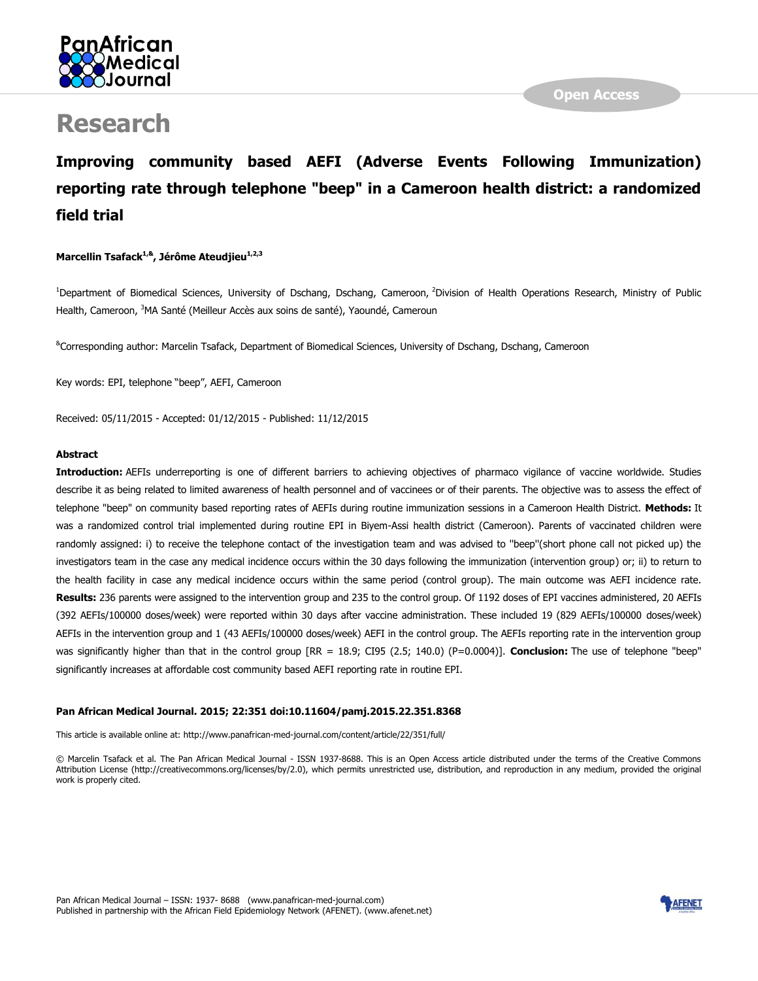

# **Research**

## **Improving community based AEFI (Adverse Events Following Immunization) reporting rate through telephone "beep" in a Cameroon health district: a randomized field trial**

#### **Marcellin Tsafack1,&, Jérôme Ateudjieu1,2,3**

<sup>1</sup>Department of Biomedical Sciences, University of Dschang, Dschang, Cameroon, <sup>2</sup>Division of Health Operations Research, Ministry of Public Health, Cameroon, <sup>3</sup>MA Santé (Meilleur Accès aux soins de santé), Yaoundé, Cameroun

&Corresponding author: Marcelin Tsafack, Department of Biomedical Sciences, University of Dschang, Dschang, Cameroon

Key words: EPI, telephone "beep", AEFI, Cameroon

Received: 05/11/2015 - Accepted: 01/12/2015 - Published: 11/12/2015

#### **Abstract**

**Introduction:** AEFIs underreporting is one of different barriers to achieving objectives of pharmaco vigilance of vaccine worldwide. Studies describe it as being related to limited awareness of health personnel and of vaccinees or of their parents. The objective was to assess the effect of telephone "beep" on community based reporting rates of AEFIs during routine immunization sessions in a Cameroon Health District. **Methods:** It was a randomized control trial implemented during routine EPI in Biyem-Assi health district (Cameroon). Parents of vaccinated children were randomly assigned: i) to receive the telephone contact of the investigation team and was advised to ''beep''(short phone call not picked up) the investigators team in the case any medical incidence occurs within the 30 days following the immunization (intervention group) or; ii) to return to the health facility in case any medical incidence occurs within the same period (control group). The main outcome was AEFI incidence rate. **Results:** 236 parents were assigned to the intervention group and 235 to the control group. Of 1192 doses of EPI vaccines administered, 20 AEFIs (392 AEFIs/100000 doses/week) were reported within 30 days after vaccine administration. These included 19 (829 AEFIs/100000 doses/week) AEFIs in the intervention group and 1 (43 AEFIs/100000 doses/week) AEFI in the control group. The AEFIs reporting rate in the intervention group was significantly higher than that in the control group [RR = 18.9; CI95 (2.5; 140.0) (P=0.0004)]. **Conclusion:** The use of telephone "beep" significantly increases at affordable cost community based AEFI reporting rate in routine EPI.

#### **Pan African Medical Journal. 2015; 22:351 doi:10.11604/pamj.2015.22.351.8368**

This article is available online at: http://www.panafrican-med-journal.com/content/article/22/351/full/

© Marcelin Tsafack et al. The Pan African Medical Journal - ISSN 1937-8688. This is an Open Access article distributed under the terms of the Creative Commons Attribution License (http://creativecommons.org/licenses/by/2.0), which permits unrestricted use, distribution, and reproduction in any medium, provided the original work is properly cited.

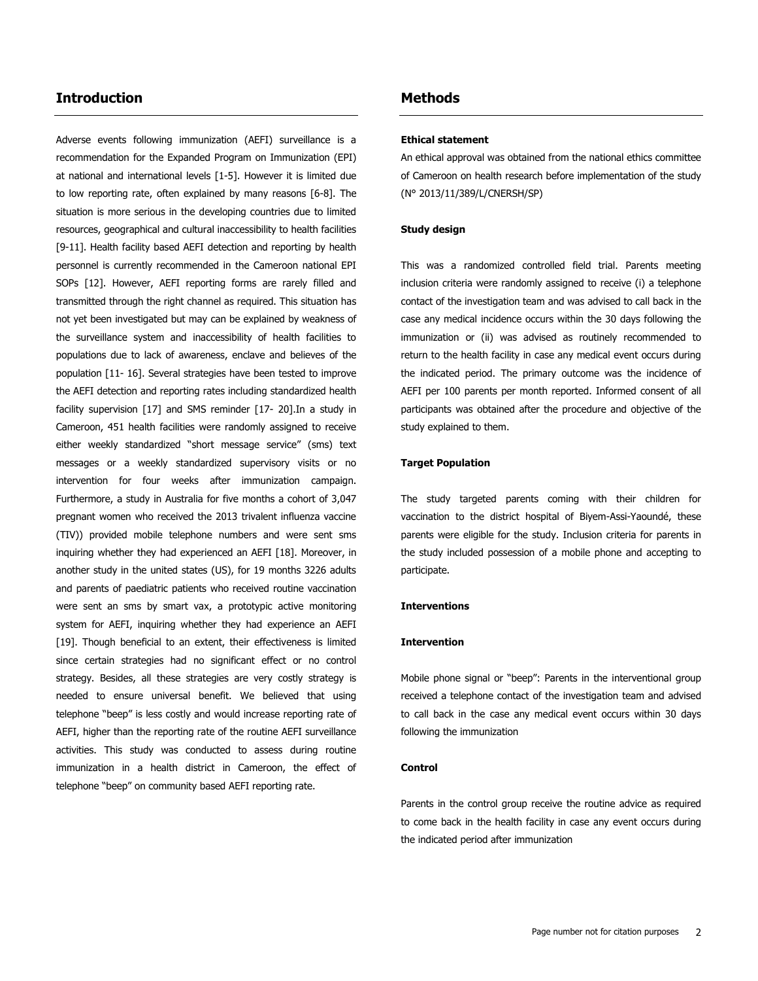## **Introduction**

Adverse events following immunization (AEFI) surveillance is a recommendation for the Expanded Program on Immunization (EPI) at national and international levels [\[1-5\]](http://www.panafrican-med-journal.com/content/article/22/351/full/#ref1). However it is limited due to low reporting rate, often explained by many reasons [\[6-8\]](http://www.panafrican-med-journal.com/content/article/22/351/full/#ref6). The situation is more serious in the developing countries due to limited resources, geographical and cultural inaccessibility to health facilities [\[9-11\]](http://www.panafrican-med-journal.com/content/article/22/351/full/#ref9). Health facility based AEFI detection and reporting by health personnel is currently recommended in the Cameroon national EPI SOPs [\[12\]](http://www.panafrican-med-journal.com/content/article/22/351/full/#ref12). However, AEFI reporting forms are rarely filled and transmitted through the right channel as required. This situation has not yet been investigated but may can be explained by weakness of the surveillance system and inaccessibility of health facilities to populations due to lack of awareness, enclave and believes of the population [\[11-](http://www.panafrican-med-journal.com/content/article/22/351/full/#ref11) 16]. Several strategies have been tested to improve the AEFI detection and reporting rates including standardized health facility supervision [\[17\]](http://www.panafrican-med-journal.com/content/article/22/351/full/#ref17) and SMS reminder [\[17-](http://www.panafrican-med-journal.com/content/article/22/351/full/#ref17) 20].In a study in Cameroon, 451 health facilities were randomly assigned to receive either weekly standardized "short message service" (sms) text messages or a weekly standardized supervisory visits or no intervention for four weeks after immunization campaign. Furthermore, a study in Australia for five months a cohort of 3,047 pregnant women who received the 2013 trivalent influenza vaccine (TIV)) provided mobile telephone numbers and were sent sms inquiring whether they had experienced an AEFI [\[18\]](http://www.panafrican-med-journal.com/content/article/22/351/full/#ref18). Moreover, in another study in the united states (US), for 19 months 3226 adults and parents of paediatric patients who received routine vaccination were sent an sms by smart vax, a prototypic active monitoring system for AEFI, inquiring whether they had experience an AEFI [\[19\]](http://www.panafrican-med-journal.com/content/article/22/351/full/#ref19). Though beneficial to an extent, their effectiveness is limited since certain strategies had no significant effect or no control strategy. Besides, all these strategies are very costly strategy is needed to ensure universal benefit. We believed that using telephone "beep" is less costly and would increase reporting rate of AEFI, higher than the reporting rate of the routine AEFI surveillance activities. This study was conducted to assess during routine immunization in a health district in Cameroon, the effect of telephone "beep" on community based AEFI reporting rate.

## **Methods**

#### **Ethical statement**

An ethical approval was obtained from the national ethics committee of Cameroon on health research before implementation of the study (N° 2013/11/389/L/CNERSH/SP)

#### **Study design**

This was a randomized controlled field trial. Parents meeting inclusion criteria were randomly assigned to receive (i) a telephone contact of the investigation team and was advised to call back in the case any medical incidence occurs within the 30 days following the immunization or (ii) was advised as routinely recommended to return to the health facility in case any medical event occurs during the indicated period. The primary outcome was the incidence of AEFI per 100 parents per month reported. Informed consent of all participants was obtained after the procedure and objective of the study explained to them.

#### **Target Population**

The study targeted parents coming with their children for vaccination to the district hospital of Biyem-Assi-Yaoundé, these parents were eligible for the study. Inclusion criteria for parents in the study included possession of a mobile phone and accepting to participate.

#### **Interventions**

#### **Intervention**

Mobile phone signal or "beep": Parents in the interventional group received a telephone contact of the investigation team and advised to call back in the case any medical event occurs within 30 days following the immunization

#### **Control**

Parents in the control group receive the routine advice as required to come back in the health facility in case any event occurs during the indicated period after immunization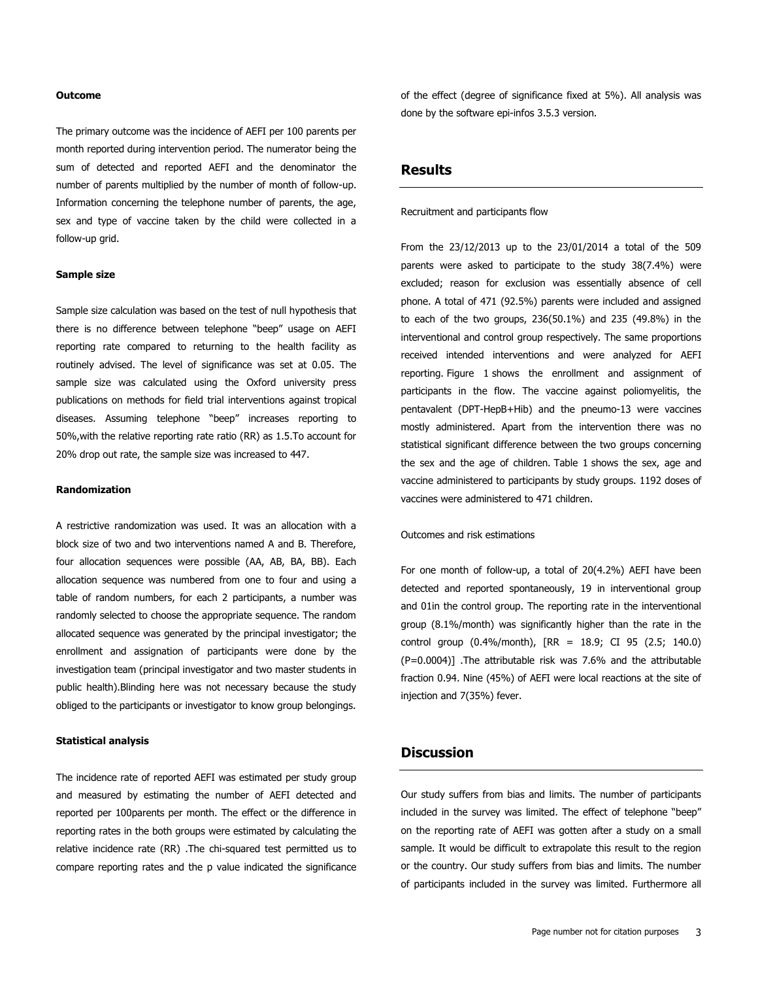#### **Outcome**

The primary outcome was the incidence of AEFI per 100 parents per month reported during intervention period. The numerator being the sum of detected and reported AEFI and the denominator the number of parents multiplied by the number of month of follow-up. Information concerning the telephone number of parents, the age, sex and type of vaccine taken by the child were collected in a follow-up grid.

#### **Sample size**

Sample size calculation was based on the test of null hypothesis that there is no difference between telephone "beep" usage on AEFI reporting rate compared to returning to the health facility as routinely advised. The level of significance was set at 0.05. The sample size was calculated using the Oxford university press publications on methods for field trial interventions against tropical diseases. Assuming telephone "beep" increases reporting to 50%,with the relative reporting rate ratio (RR) as 1.5.To account for 20% drop out rate, the sample size was increased to 447.

#### **Randomization**

A restrictive randomization was used. It was an allocation with a block size of two and two interventions named A and B. Therefore, four allocation sequences were possible (AA, AB, BA, BB). Each allocation sequence was numbered from one to four and using a table of random numbers, for each 2 participants, a number was randomly selected to choose the appropriate sequence. The random allocated sequence was generated by the principal investigator; the enrollment and assignation of participants were done by the investigation team (principal investigator and two master students in public health).Blinding here was not necessary because the study obliged to the participants or investigator to know group belongings.

#### **Statistical analysis**

The incidence rate of reported AEFI was estimated per study group and measured by estimating the number of AEFI detected and reported per 100parents per month. The effect or the difference in reporting rates in the both groups were estimated by calculating the relative incidence rate (RR) .The chi-squared test permitted us to compare reporting rates and the p value indicated the significance

of the effect (degree of significance fixed at 5%). All analysis was done by the software epi-infos 3.5.3 version.

## **Results**

Recruitment and participants flow

From the 23/12/2013 up to the 23/01/2014 a total of the 509 parents were asked to participate to the study 38(7.4%) were excluded; reason for exclusion was essentially absence of cell phone. A total of 471 (92.5%) parents were included and assigned to each of the two groups, 236(50.1%) and 235 (49.8%) in the interventional and control group respectively. The same proportions received intended interventions and were analyzed for AEFI reporting. [Figure 1](javascript:PopupFigure() shows the enrollment and assignment of participants in the flow. The vaccine against poliomyelitis, the pentavalent (DPT-HepB+Hib) and the pneumo-13 were vaccines mostly administered. Apart from the intervention there was no statistical significant difference between the two groups concerning the sex and the age of children. [Table 1](javascript:void(0)) shows the sex, age and vaccine administered to participants by study groups. 1192 doses of vaccines were administered to 471 children.

Outcomes and risk estimations

For one month of follow-up, a total of 20(4.2%) AEFI have been detected and reported spontaneously, 19 in interventional group and 01in the control group. The reporting rate in the interventional group (8.1%/month) was significantly higher than the rate in the control group (0.4%/month), [RR = 18.9; CI 95 (2.5; 140.0) (P=0.0004)] .The attributable risk was 7.6% and the attributable fraction 0.94. Nine (45%) of AEFI were local reactions at the site of injection and 7(35%) fever.

### **Discussion**

Our study suffers from bias and limits. The number of participants included in the survey was limited. The effect of telephone "beep" on the reporting rate of AEFI was gotten after a study on a small sample. It would be difficult to extrapolate this result to the region or the country. Our study suffers from bias and limits. The number of participants included in the survey was limited. Furthermore all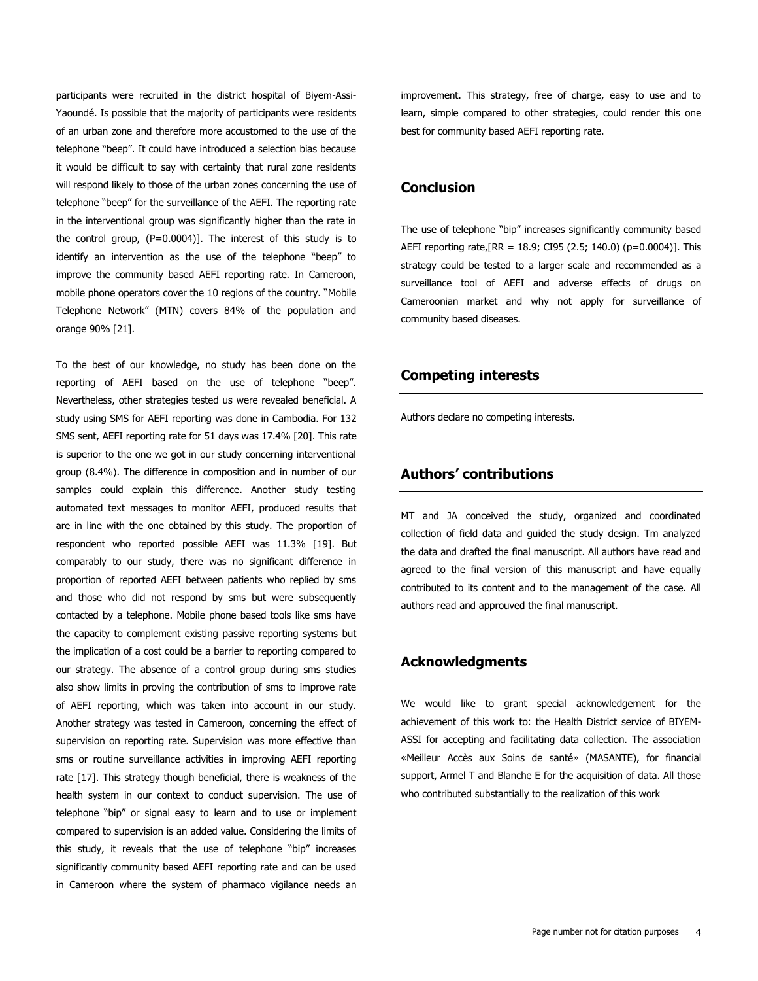participants were recruited in the district hospital of Biyem-Assi-Yaoundé. Is possible that the majority of participants were residents of an urban zone and therefore more accustomed to the use of the telephone "beep". It could have introduced a selection bias because it would be difficult to say with certainty that rural zone residents will respond likely to those of the urban zones concerning the use of telephone "beep" for the surveillance of the AEFI. The reporting rate in the interventional group was significantly higher than the rate in the control group, (P=0.0004)]. The interest of this study is to identify an intervention as the use of the telephone "beep" to improve the community based AEFI reporting rate. In Cameroon, mobile phone operators cover the 10 regions of the country. "Mobile Telephone Network" (MTN) covers 84% of the population and orange 90% [\[21\]](http://www.panafrican-med-journal.com/content/article/22/351/full/#ref21).

To the best of our knowledge, no study has been done on the reporting of AEFI based on the use of telephone "beep". Nevertheless, other strategies tested us were revealed beneficial. A study using SMS for AEFI reporting was done in Cambodia. For 132 SMS sent, AEFI reporting rate for 51 days was 17.4% [\[20\]](http://www.panafrican-med-journal.com/content/article/22/351/full/#ref20). This rate is superior to the one we got in our study concerning interventional group (8.4%). The difference in composition and in number of our samples could explain this difference. Another study testing automated text messages to monitor AEFI, produced results that are in line with the one obtained by this study. The proportion of respondent who reported possible AEFI was 11.3% [\[19\]](http://www.panafrican-med-journal.com/content/article/22/351/full/#ref19). But comparably to our study, there was no significant difference in proportion of reported AEFI between patients who replied by sms and those who did not respond by sms but were subsequently contacted by a telephone. Mobile phone based tools like sms have the capacity to complement existing passive reporting systems but the implication of a cost could be a barrier to reporting compared to our strategy. The absence of a control group during sms studies also show limits in proving the contribution of sms to improve rate of AEFI reporting, which was taken into account in our study. Another strategy was tested in Cameroon, concerning the effect of supervision on reporting rate. Supervision was more effective than sms or routine surveillance activities in improving AEFI reporting rate [\[17\]](http://www.panafrican-med-journal.com/content/article/22/351/full/#ref17). This strategy though beneficial, there is weakness of the health system in our context to conduct supervision. The use of telephone "bip" or signal easy to learn and to use or implement compared to supervision is an added value. Considering the limits of this study, it reveals that the use of telephone "bip" increases significantly community based AEFI reporting rate and can be used in Cameroon where the system of pharmaco vigilance needs an

improvement. This strategy, free of charge, easy to use and to learn, simple compared to other strategies, could render this one best for community based AEFI reporting rate.

## **Conclusion**

The use of telephone "bip" increases significantly community based AEFI reporting rate,  $[RR = 18.9; CI95 (2.5; 140.0) (p=0.0004)].$  This strategy could be tested to a larger scale and recommended as a surveillance tool of AEFI and adverse effects of drugs on Cameroonian market and why not apply for surveillance of community based diseases.

## **Competing interests**

Authors declare no competing interests.

## **Authors' contributions**

MT and JA conceived the study, organized and coordinated collection of field data and guided the study design. Tm analyzed the data and drafted the final manuscript. All authors have read and agreed to the final version of this manuscript and have equally contributed to its content and to the management of the case. All authors read and approuved the final manuscript.

## **Acknowledgments**

We would like to grant special acknowledgement for the achievement of this work to: the Health District service of BIYEM-ASSI for accepting and facilitating data collection. The association «Meilleur Accès aux Soins de santé» (MASANTE), for financial support, Armel T and Blanche E for the acquisition of data. All those who contributed substantially to the realization of this work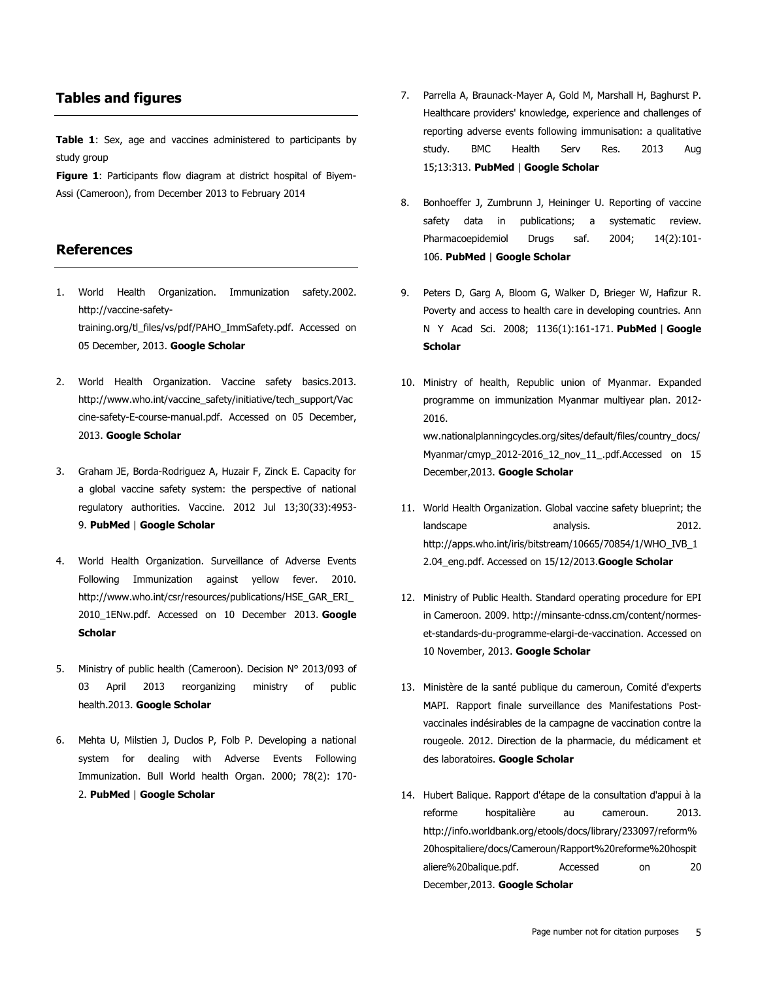## **Tables and figures**

**[Table 1](javascript:void(0))**: Sex, age and vaccines administered to participants by study group

**[Figure 1](javascript:PopupFigure()**: Participants flow diagram at district hospital of Biyem-Assi (Cameroon), from December 2013 to February 2014

## **References**

- 1. World Health Organization. Immunization safety.2002. http://vaccine-safetytraining.org/tl\_files/vs/pdf/PAHO\_ImmSafety.pdf. Accessed on 05 December, 2013. **Google [Scholar](http://scholar.google.com/scholar?hl=en&q=+Immunization+safety)**
- 2. World Health Organization. Vaccine safety basics.2013. http://www.who.int/vaccine\_safety/initiative/tech\_support/Vac cine-safety-E-course-manual.pdf. Accessed on 05 December, 2013. **[Google Scholar](http://scholar.google.com/scholar?hl=en&q=+Vaccine+safety+basics)**
- 3. Graham JE, Borda-Rodriguez A, Huzair F, Zinck E. Capacity for a global vaccine safety system: the perspective of national regulatory authorities. Vaccine. 2012 Jul 13;30(33):4953- 9. **[PubMed](http://www.ncbi.nlm.nih.gov/entrez/query.fcgi?db=PubMed&cmd=Search&doptcmdl=Citation&defaultField=Title+Word&term=Graham%20JE1%5bauthor%5d+AND++Capacity+for+a+global+vaccine+safety+system:+the+perspective+of+national+regulatory+authorities)** | **[Google Scholar](http://scholar.google.com/scholar?hl=en&q=+Capacity+for+a+global+vaccine+safety+system:+the+perspective+of+national+regulatory+authorities)**
- 4. World Health Organization. Surveillance of Adverse Events Following Immunization against yellow fever. 2010. http://www.who.int/csr/resources/publications/HSE\_GAR\_ERI\_ 2010\_1ENw.pdf. Accessed on 10 December 2013. **[Google](http://scholar.google.com/scholar?hl=en&q=+Surveillance+of+Adverse+Events+Following+Immunization+against+yellow+fever)  [Scholar](http://scholar.google.com/scholar?hl=en&q=+Surveillance+of+Adverse+Events+Following+Immunization+against+yellow+fever)**
- 5. Ministry of public health (Cameroon). Decision N° 2013/093 of 03 April 2013 reorganizing ministry of public health.2013. **[Google Scholar](http://scholar.google.com/scholar?hl=en&q=+Decision+N%B0+2013/093+of+03+April+2013+reorganizing+ministry+of+public+health)**
- 6. Mehta U, Milstien J, Duclos P, Folb P. Developing a national system for dealing with Adverse Events Following Immunization. Bull World health Organ. 2000; 78(2): 170- 2. **[PubMed](http://www.ncbi.nlm.nih.gov/entrez/query.fcgi?db=PubMed&cmd=Search&doptcmdl=Citation&defaultField=Title+Word&term=Mehta%20U%5bauthor%5d+AND++Developing+a+national+system+for+dealing+with+Adverse+Events+Following+Immunization)** | **[Google Scholar](http://scholar.google.com/scholar?hl=en&q=+Developing+a+national+system+for+dealing+with+Adverse+Events+Following+Immunization)**
- 7. Parrella A, Braunack-Mayer A, Gold M, Marshall H, Baghurst P. Healthcare providers' knowledge, experience and challenges of reporting adverse events following immunisation: a qualitative study. BMC Health Serv Res. 2013 Aug 15;13:313. **[PubMed](http://www.ncbi.nlm.nih.gov/entrez/query.fcgi?db=PubMed&cmd=Search&doptcmdl=Citation&defaultField=Title+Word&term=Parrella%20A1%5bauthor%5d+AND++Healthcare+providers+knowledge+experience+and+challenges+of+reporting+adverse+events+following+immunisation:+a+qualitative+study)** | **[Google Scholar](http://scholar.google.com/scholar?hl=en&q=+Healthcare+providers+knowledge+experience+and+challenges+of+reporting+adverse+events+following+immunisation:+a+qualitative+study)**
- 8. Bonhoeffer J, Zumbrunn J, Heininger U. Reporting of vaccine safety data in publications; a systematic review. Pharmacoepidemiol Drugs saf. 2004; 14(2):101-106. **[PubMed](http://www.ncbi.nlm.nih.gov/entrez/query.fcgi?db=PubMed&cmd=Search&doptcmdl=Citation&defaultField=Title+Word&term=Bonhoeffer%20J%5bauthor%5d+AND++Reporting+of+vaccine+safety+data+in+publications;+a+systematic+review)** | **[Google Scholar](http://scholar.google.com/scholar?hl=en&q=+Reporting+of+vaccine+safety+data+in+publications;+a+systematic+review)**
- 9. Peters D, Garg A, Bloom G, Walker D, Brieger W, Hafizur R. Poverty and access to health care in developing countries. Ann N Y Acad Sci. 2008; 1136(1):161-171. **[PubMed](http://www.ncbi.nlm.nih.gov/entrez/query.fcgi?db=PubMed&cmd=Search&doptcmdl=Citation&defaultField=Title+Word&term=Peters%20D%5bauthor%5d+AND++Poverty+and+access+to+health+care+in+developing+countries)** | **[Google](http://scholar.google.com/scholar?hl=en&q=+Poverty+and+access+to+health+care+in+developing+countries)  [Scholar](http://scholar.google.com/scholar?hl=en&q=+Poverty+and+access+to+health+care+in+developing+countries)**
- 10. Ministry of health, Republic union of Myanmar. Expanded programme on immunization Myanmar multiyear plan. 2012- 2016. ww.nationalplanningcycles.org/sites/default/files/country\_docs/ Myanmar/cmyp\_2012-2016\_12\_nov\_11\_.pdf.Accessed on 15 December,2013. **[Google Scholar](http://scholar.google.com/scholar?hl=en&q=+Expanded+programme+on+immunization+Myanmar+multiyear+plan)**
- 11. World Health Organization. Global vaccine safety blueprint; the landscape analysis. 2012. http://apps.who.int/iris/bitstream/10665/70854/1/WHO\_IVB\_1 2.04\_eng.pdf. Accessed on 15/12/2013.**[Google Scholar](http://scholar.google.com/scholar?hl=en&q=+Global+vaccine+safety+blueprint;+the+landscape+analysis)**
- 12. Ministry of Public Health. Standard operating procedure for EPI in Cameroon. 2009. http://minsante-cdnss.cm/content/normeset-standards-du-programme-elargi-de-vaccination. Accessed on 10 November, 2013. **[Google Scholar](http://scholar.google.com/scholar?hl=en&q=+Standard+operating+procedure+for+EPI+in+Cameroon)**
- 13. Ministère de la santé publique du cameroun, Comité d'experts MAPI. Rapport finale surveillance des Manifestations Postvaccinales indésirables de la campagne de vaccination contre la rougeole. 2012. Direction de la pharmacie, du médicament et des laboratoires. **[Google Scholar](http://scholar.google.com/scholar?hl=en&q=+Rapport+finale+surveillance+des+Manifestations+Post-vaccinales+ind%E9sirables+de+la+campagne+de+vaccination+contre+la+rougeole)**
- 14. Hubert Balique. Rapport d'étape de la consultation d'appui à la reforme hospitalière au cameroun. 2013. http://info.worldbank.org/etools/docs/library/233097/reform% 20hospitaliere/docs/Cameroun/Rapport%20reforme%20hospit aliere%20balique.pdf. Accessed on 20 December,2013. **[Google Scholar](http://scholar.google.com/scholar?hl=en&q=+Rapport+d?%E9tape+de+la+consultation+d?appui+%E0+la+reforme+hospitali%E8re+au+cameroun)**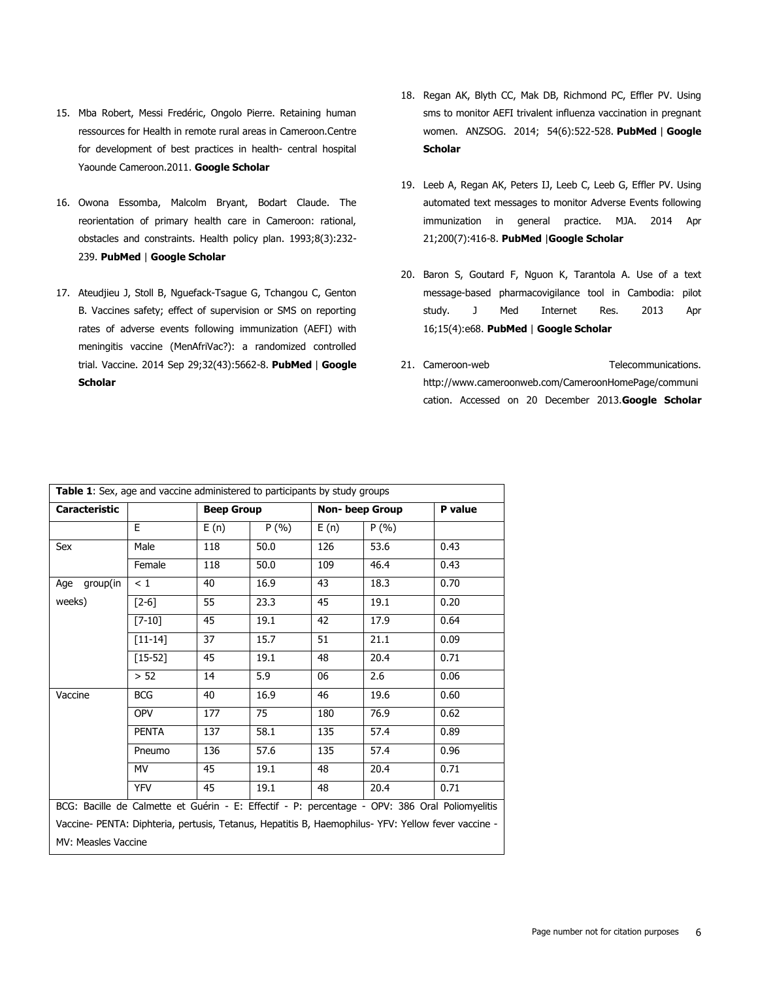- 15. Mba Robert, Messi Fredéric, Ongolo Pierre. Retaining human ressources for Health in remote rural areas in Cameroon.Centre for development of best practices in health- central hospital Yaounde Cameroon.2011. **[Google Scholar](http://scholar.google.com/scholar?hl=en&q=+Retaining+human+ressources+for+Health+in+remote+rural+areas+in+Cameroon)**
- 16. Owona Essomba, Malcolm Bryant, Bodart Claude. The reorientation of primary health care in Cameroon: rational, obstacles and constraints. Health policy plan. 1993;8(3):232- 239. **[PubMed](http://www.ncbi.nlm.nih.gov/entrez/query.fcgi?db=PubMed&cmd=Search&doptcmdl=Citation&defaultField=Title+Word&term=Owona%20Essomba%5bauthor%5d+AND++The+reorientation+of+primary+health+care+in+Cameroon:+rational+obstacles+and+constraints)** | **[Google Scholar](http://scholar.google.com/scholar?hl=en&q=+The+reorientation+of+primary+health+care+in+Cameroon:+rational+obstacles+and+constraints)**
- 17. Ateudjieu J, Stoll B, Nguefack-Tsague G, Tchangou C, Genton B. Vaccines safety; effect of supervision or SMS on reporting rates of adverse events following immunization (AEFI) with meningitis vaccine (MenAfriVac?): a randomized controlled trial. Vaccine. 2014 Sep 29;32(43):5662-8. **[PubMed](http://www.ncbi.nlm.nih.gov/entrez/query.fcgi?db=PubMed&cmd=Search&doptcmdl=Citation&defaultField=Title+Word&term=Ateudjieu%20J1%5bauthor%5d+AND++Vaccines+safety;+effect+of+supervision+or+SMS+on+reporting+rates+of+adverse+events+following+immunization+(AEFI)+with+meningitis+vaccine+(MenAfriVac?):+a+randomized+controlled+trial)** | **[Google](http://scholar.google.com/scholar?hl=en&q=+Vaccines+safety;+effect+of+supervision+or+SMS+on+reporting+rates+of+adverse+events+following+immunization+(AEFI)+with+meningitis+vaccine+(MenAfriVac?):+a+randomized+controlled+trial)  [Scholar](http://scholar.google.com/scholar?hl=en&q=+Vaccines+safety;+effect+of+supervision+or+SMS+on+reporting+rates+of+adverse+events+following+immunization+(AEFI)+with+meningitis+vaccine+(MenAfriVac?):+a+randomized+controlled+trial)**
- 18. Regan AK, Blyth CC, Mak DB, Richmond PC, Effler PV. Using sms to monitor AEFI trivalent influenza vaccination in pregnant women. ANZSOG. 2014; 54(6):522-528. **[PubMed](http://www.ncbi.nlm.nih.gov/entrez/query.fcgi?db=PubMed&cmd=Search&doptcmdl=Citation&defaultField=Title+Word&term=Regan%20AK%5bauthor%5d+AND++Using+sms+to+monitor+AEFI+trivalent+influenza+vaccination+in+pregnant+women)** | **[Google](http://scholar.google.com/scholar?hl=en&q=+Using+sms+to+monitor+AEFI+trivalent+influenza+vaccination+in+pregnant+women)  [Scholar](http://scholar.google.com/scholar?hl=en&q=+Using+sms+to+monitor+AEFI+trivalent+influenza+vaccination+in+pregnant+women)**
- 19. Leeb A, Regan AK, Peters IJ, Leeb C, Leeb G, Effler PV. Using automated text messages to monitor Adverse Events following immunization in general practice. MJA. 2014 Apr 21;200(7):416-8. **[PubMed](http://www.ncbi.nlm.nih.gov/entrez/query.fcgi?db=PubMed&cmd=Search&doptcmdl=Citation&defaultField=Title+Word&term=Leeb%20A%5bauthor%5d+AND++Using+automated+text+messages+to+monitor+Adverse+Events+following+immunization+in+general+practice)** |**[Google Scholar](http://scholar.google.com/scholar?hl=en&q=+Using+automated+text+messages+to+monitor+Adverse+Events+following+immunization+in+general+practice)**
- 20. Baron S, Goutard F, Nguon K, Tarantola A. Use of a text message-based pharmacovigilance tool in Cambodia: pilot study. J Med Internet Res. 2013 Apr 16;15(4):e68. **[PubMed](http://www.ncbi.nlm.nih.gov/entrez/query.fcgi?db=PubMed&cmd=Search&doptcmdl=Citation&defaultField=Title+Word&term=Baron%20S1%5bauthor%5d+AND++Use+of+a+text+message-based+pharmacovigilance+tool+in+Cambodia:+pilot+study)** | **[Google Scholar](http://scholar.google.com/scholar?hl=en&q=+Use+of+a+text+message-based+pharmacovigilance+tool+in+Cambodia:+pilot+study)**
- 21. Cameroon-web Telecommunications. http://www.cameroonweb.com/CameroonHomePage/communi cation. Accessed on 20 December 201[3.](http://scholar.google.com/scholar?hl=en&q=++http://www)**[Google Scholar](http://scholar.google.com/scholar?hl=en&q=++http://www)**

| <b>Caracteristic</b>                                                                                |              | <b>Beep Group</b> |      | <b>Non-beep Group</b> |       | P value |
|-----------------------------------------------------------------------------------------------------|--------------|-------------------|------|-----------------------|-------|---------|
|                                                                                                     | E.           | E(n)              | P(%) | E(n)                  | P(% ) |         |
| Sex                                                                                                 | Male         | 118               | 50.0 | 126                   | 53.6  | 0.43    |
|                                                                                                     | Female       | 118               | 50.0 | 109                   | 46.4  | 0.43    |
| group(in<br>Age                                                                                     | < 1          | 40                | 16.9 | 43                    | 18.3  | 0.70    |
| weeks)                                                                                              | $[2-6]$      | 55                | 23.3 | 45                    | 19.1  | 0.20    |
|                                                                                                     | $[7 - 10]$   | 45                | 19.1 | 42                    | 17.9  | 0.64    |
|                                                                                                     | $[11 - 14]$  | 37                | 15.7 | 51                    | 21.1  | 0.09    |
|                                                                                                     | $[15 - 52]$  | 45                | 19.1 | 48                    | 20.4  | 0.71    |
|                                                                                                     | > 52         | 14                | 5.9  | 06                    | 2.6   | 0.06    |
| Vaccine                                                                                             | <b>BCG</b>   | 40                | 16.9 | 46                    | 19.6  | 0.60    |
|                                                                                                     | <b>OPV</b>   | 177               | 75   | 180                   | 76.9  | 0.62    |
|                                                                                                     | <b>PENTA</b> | 137               | 58.1 | 135                   | 57.4  | 0.89    |
|                                                                                                     | Pneumo       | 136               | 57.6 | 135                   | 57.4  | 0.96    |
|                                                                                                     | MV           | 45                | 19.1 | 48                    | 20.4  | 0.71    |
|                                                                                                     | <b>YFV</b>   | 45                | 19.1 | 48                    | 20.4  | 0.71    |
| BCG: Bacille de Calmette et Guérin - E: Effectif - P: percentage - OPV: 386 Oral Poliomyelitis      |              |                   |      |                       |       |         |
| Vaccine- PENTA: Diphteria, pertusis, Tetanus, Hepatitis B, Haemophilus- YFV: Yellow fever vaccine - |              |                   |      |                       |       |         |
| MV: Measles Vaccine                                                                                 |              |                   |      |                       |       |         |